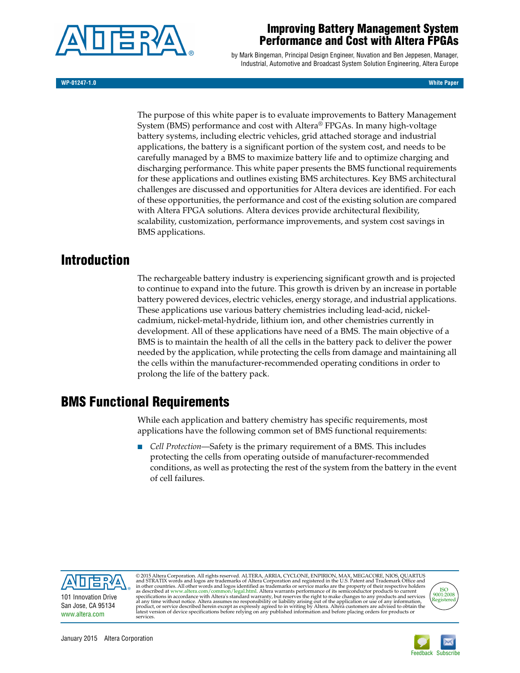

## **Improving Battery Management System Performance and Cost with Altera FPGAs**

by Mark Bingeman, Principal Design Engineer, Nuvation and Ben Jeppesen, Manager, Industrial, Automotive and Broadcast System Solution Engineering, Altera Europe

**WP-01247-1.0 White Paper**

The purpose of this white paper is to evaluate improvements to Battery Management System (BMS) performance and cost with Altera® FPGAs. In many high-voltage battery systems, including electric vehicles, grid attached storage and industrial applications, the battery is a significant portion of the system cost, and needs to be carefully managed by a BMS to maximize battery life and to optimize charging and discharging performance. This white paper presents the BMS functional requirements for these applications and outlines existing BMS architectures. Key BMS architectural challenges are discussed and opportunities for Altera devices are identified. For each of these opportunities, the performance and cost of the existing solution are compared with Altera FPGA solutions. Altera devices provide architectural flexibility, scalability, customization, performance improvements, and system cost savings in BMS applications.

# **Introduction**

The rechargeable battery industry is experiencing significant growth and is projected to continue to expand into the future. This growth is driven by an increase in portable battery powered devices, electric vehicles, energy storage, and industrial applications. These applications use various battery chemistries including lead-acid, nickelcadmium, nickel-metal-hydride, lithium ion, and other chemistries currently in development. All of these applications have need of a BMS. The main objective of a BMS is to maintain the health of all the cells in the battery pack to deliver the power needed by the application, while protecting the cells from damage and maintaining all the cells within the manufacturer-recommended operating conditions in order to prolong the life of the battery pack.

# **BMS Functional Requirements**

While each application and battery chemistry has specific requirements, most applications have the following common set of BMS functional requirements:

*Cell Protection—Safety is the primary requirement of a BMS. This includes* protecting the cells from operating outside of manufacturer-recommended conditions, as well as protecting the rest of the system from the battery in the event of cell failures.



© 2015 Altera Corporation. All rights reserved. ALTERA, ARRIA, CYCLONE, ENPIRION, MAX, MEGACORE, NIOS, QUARTUS<br>and STRATIX words and logos are trademarks of Altera Corporation and registered in the U.S. Patent and Trademar product, or service described herein except as expressly agreed to in writing by Altera. Altera customers are advised to obtain the<br>latest version of device specifications before relying on any published information and be



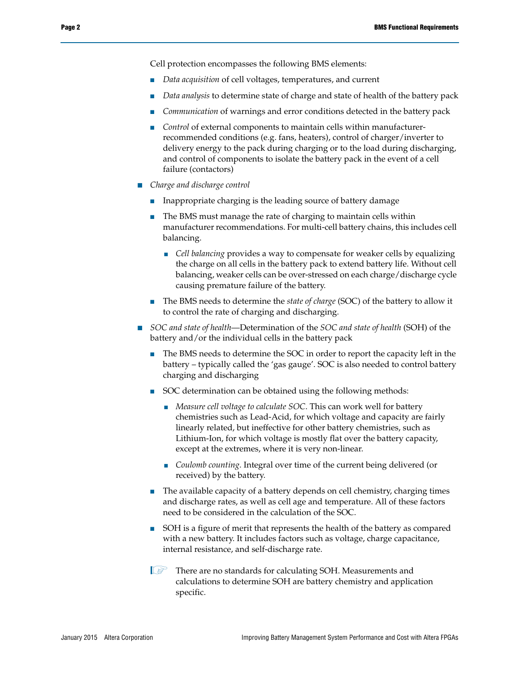Cell protection encompasses the following BMS elements:

- *Data acquisition* of cell voltages, temperatures, and current
- Data analysis to determine state of charge and state of health of the battery pack
- Communication of warnings and error conditions detected in the battery pack
- *Control* of external components to maintain cells within manufacturerrecommended conditions (e.g. fans, heaters), control of charger/inverter to delivery energy to the pack during charging or to the load during discharging, and control of components to isolate the battery pack in the event of a cell failure (contactors)
- *Charge and discharge control*
	- Inappropriate charging is the leading source of battery damage
	- The BMS must manage the rate of charging to maintain cells within manufacturer recommendations. For multi-cell battery chains, this includes cell balancing.
		- *Cell balancing* provides a way to compensate for weaker cells by equalizing the charge on all cells in the battery pack to extend battery life. Without cell balancing, weaker cells can be over-stressed on each charge/discharge cycle causing premature failure of the battery.
	- The BMS needs to determine the *state of charge* (SOC) of the battery to allow it to control the rate of charging and discharging.
- *SOC and state of health—Determination of the <i>SOC and state of health* (SOH) of the battery and/or the individual cells in the battery pack
	- The BMS needs to determine the SOC in order to report the capacity left in the battery – typically called the 'gas gauge'. SOC is also needed to control battery charging and discharging
	- SOC determination can be obtained using the following methods:
		- *Measure cell voltage to calculate SOC*. This can work well for battery chemistries such as Lead-Acid, for which voltage and capacity are fairly linearly related, but ineffective for other battery chemistries, such as Lithium-Ion, for which voltage is mostly flat over the battery capacity, except at the extremes, where it is very non-linear.
		- *Coulomb counting*. Integral over time of the current being delivered (or received) by the battery.
	- The available capacity of a battery depends on cell chemistry, charging times and discharge rates, as well as cell age and temperature. All of these factors need to be considered in the calculation of the SOC.
	- SOH is a figure of merit that represents the health of the battery as compared with a new battery. It includes factors such as voltage, charge capacitance, internal resistance, and self-discharge rate.
	- **1 There are no standards for calculating SOH. Measurements and** calculations to determine SOH are battery chemistry and application specific.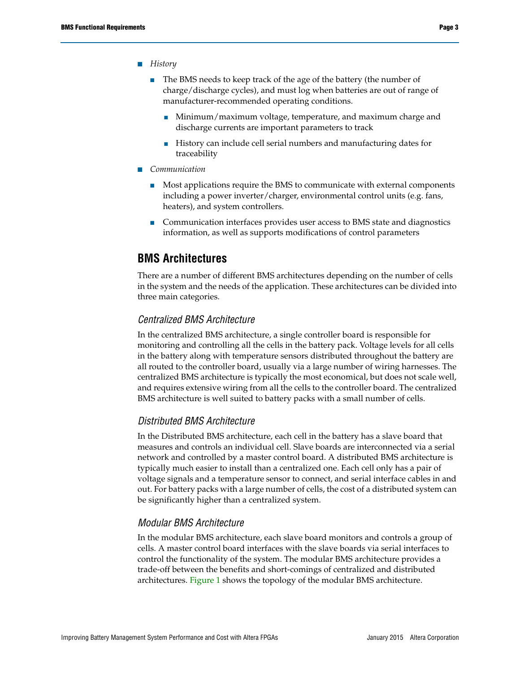#### ■ *History*

- The BMS needs to keep track of the age of the battery (the number of charge/discharge cycles), and must log when batteries are out of range of manufacturer-recommended operating conditions.
	- Minimum/maximum voltage, temperature, and maximum charge and discharge currents are important parameters to track
	- History can include cell serial numbers and manufacturing dates for traceability
- *Communication* 
	- Most applications require the BMS to communicate with external components including a power inverter/charger, environmental control units (e.g. fans, heaters), and system controllers.
	- Communication interfaces provides user access to BMS state and diagnostics information, as well as supports modifications of control parameters

### **BMS Architectures**

There are a number of different BMS architectures depending on the number of cells in the system and the needs of the application. These architectures can be divided into three main categories.

#### *Centralized BMS Architecture*

In the centralized BMS architecture, a single controller board is responsible for monitoring and controlling all the cells in the battery pack. Voltage levels for all cells in the battery along with temperature sensors distributed throughout the battery are all routed to the controller board, usually via a large number of wiring harnesses. The centralized BMS architecture is typically the most economical, but does not scale well, and requires extensive wiring from all the cells to the controller board. The centralized BMS architecture is well suited to battery packs with a small number of cells.

### *Distributed BMS Architecture*

In the Distributed BMS architecture, each cell in the battery has a slave board that measures and controls an individual cell. Slave boards are interconnected via a serial network and controlled by a master control board. A distributed BMS architecture is typically much easier to install than a centralized one. Each cell only has a pair of voltage signals and a temperature sensor to connect, and serial interface cables in and out. For battery packs with a large number of cells, the cost of a distributed system can be significantly higher than a centralized system.

#### *Modular BMS Architecture*

In the modular BMS architecture, each slave board monitors and controls a group of cells. A master control board interfaces with the slave boards via serial interfaces to control the functionality of the system. The modular BMS architecture provides a trade-off between the benefits and short-comings of centralized and distributed architectures. [Figure 1](#page-3-0) shows the topology of the modular BMS architecture.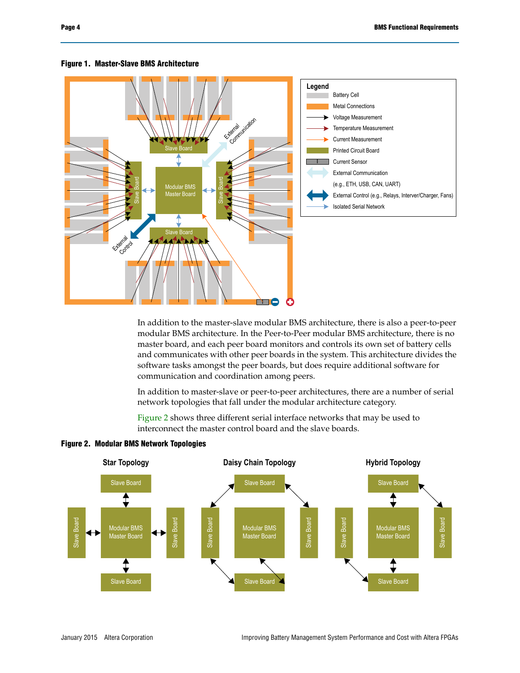

#### <span id="page-3-0"></span>**Figure 1. Master-Slave BMS Architecture**

In addition to the master-slave modular BMS architecture, there is also a peer-to-peer modular BMS architecture. In the Peer-to-Peer modular BMS architecture, there is no master board, and each peer board monitors and controls its own set of battery cells and communicates with other peer boards in the system. This architecture divides the software tasks amongst the peer boards, but does require additional software for communication and coordination among peers.

In addition to master-slave or peer-to-peer architectures, there are a number of serial network topologies that fall under the modular architecture category.

[Figure 2](#page-3-1) shows three different serial interface networks that may be used to interconnect the master control board and the slave boards.



<span id="page-3-1"></span>**Figure 2. Modular BMS Network Topologies**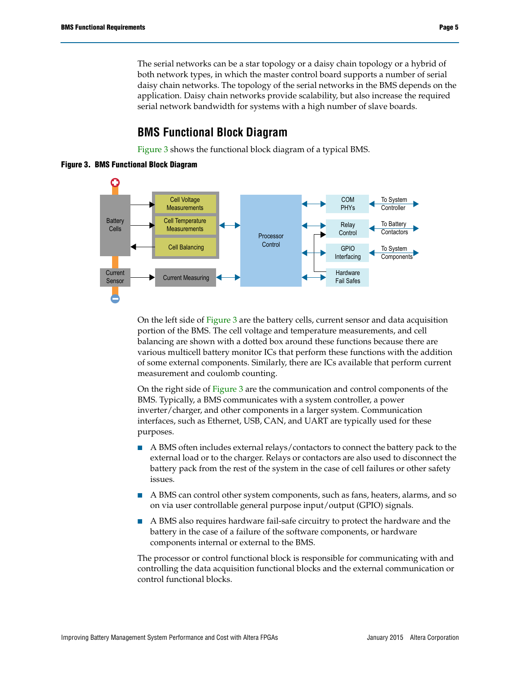The serial networks can be a star topology or a daisy chain topology or a hybrid of both network types, in which the master control board supports a number of serial daisy chain networks. The topology of the serial networks in the BMS depends on the application. Daisy chain networks provide scalability, but also increase the required serial network bandwidth for systems with a high number of slave boards.

## **BMS Functional Block Diagram**

[Figure 3](#page-4-0) shows the functional block diagram of a typical BMS.

<span id="page-4-0"></span>**Figure 3. BMS Functional Block Diagram**



On the left side of [Figure 3](#page-4-0) are the battery cells, current sensor and data acquisition portion of the BMS. The cell voltage and temperature measurements, and cell balancing are shown with a dotted box around these functions because there are various multicell battery monitor ICs that perform these functions with the addition of some external components. Similarly, there are ICs available that perform current measurement and coulomb counting.

On the right side of [Figure 3](#page-4-0) are the communication and control components of the BMS. Typically, a BMS communicates with a system controller, a power inverter/charger, and other components in a larger system. Communication interfaces, such as Ethernet, USB, CAN, and UART are typically used for these purposes.

- A BMS often includes external relays/contactors to connect the battery pack to the external load or to the charger. Relays or contactors are also used to disconnect the battery pack from the rest of the system in the case of cell failures or other safety issues.
- A BMS can control other system components, such as fans, heaters, alarms, and so on via user controllable general purpose input/output (GPIO) signals.
- A BMS also requires hardware fail-safe circuitry to protect the hardware and the battery in the case of a failure of the software components, or hardware components internal or external to the BMS.

The processor or control functional block is responsible for communicating with and controlling the data acquisition functional blocks and the external communication or control functional blocks.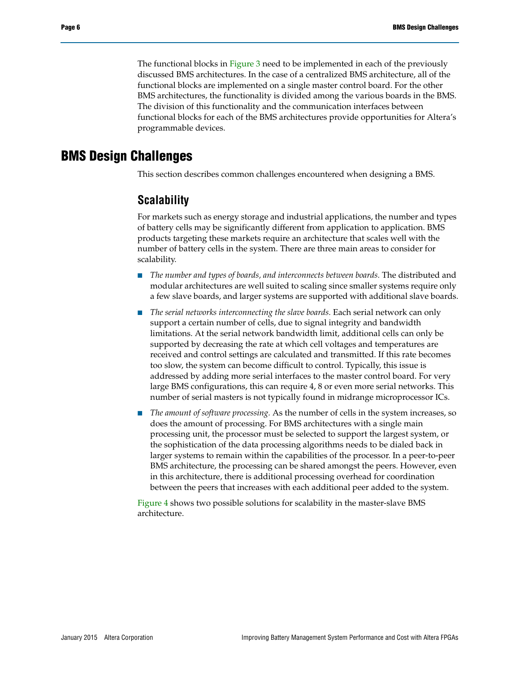The functional blocks in [Figure 3](#page-4-0) need to be implemented in each of the previously discussed BMS architectures. In the case of a centralized BMS architecture, all of the functional blocks are implemented on a single master control board. For the other BMS architectures, the functionality is divided among the various boards in the BMS. The division of this functionality and the communication interfaces between functional blocks for each of the BMS architectures provide opportunities for Altera's programmable devices.

## **BMS Design Challenges**

This section describes common challenges encountered when designing a BMS.

### **Scalability**

For markets such as energy storage and industrial applications, the number and types of battery cells may be significantly different from application to application. BMS products targeting these markets require an architecture that scales well with the number of battery cells in the system. There are three main areas to consider for scalability.

- *The number and types of boards, and interconnects between boards*. The distributed and modular architectures are well suited to scaling since smaller systems require only a few slave boards, and larger systems are supported with additional slave boards.
- The serial networks interconnecting the slave boards. Each serial network can only support a certain number of cells, due to signal integrity and bandwidth limitations. At the serial network bandwidth limit, additional cells can only be supported by decreasing the rate at which cell voltages and temperatures are received and control settings are calculated and transmitted. If this rate becomes too slow, the system can become difficult to control. Typically, this issue is addressed by adding more serial interfaces to the master control board. For very large BMS configurations, this can require 4, 8 or even more serial networks. This number of serial masters is not typically found in midrange microprocessor ICs.
- The amount of software processing. As the number of cells in the system increases, so does the amount of processing. For BMS architectures with a single main processing unit, the processor must be selected to support the largest system, or the sophistication of the data processing algorithms needs to be dialed back in larger systems to remain within the capabilities of the processor. In a peer-to-peer BMS architecture, the processing can be shared amongst the peers. However, even in this architecture, there is additional processing overhead for coordination between the peers that increases with each additional peer added to the system.

[Figure 4](#page-6-0) shows two possible solutions for scalability in the master-slave BMS architecture.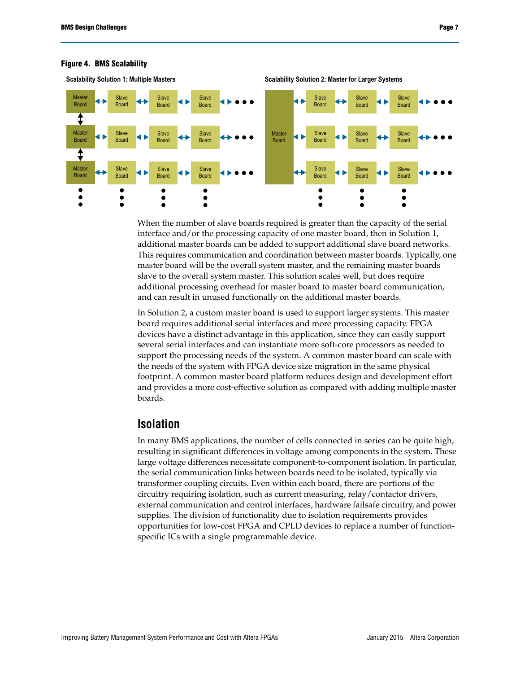

#### <span id="page-6-0"></span>**Figure 4. BMS Scalability**

When the number of slave boards required is greater than the capacity of the serial interface and/or the processing capacity of one master board, then in Solution 1, additional master boards can be added to support additional slave board networks. This requires communication and coordination between master boards. Typically, one master board will be the overall system master, and the remaining master boards slave to the overall system master. This solution scales well, but does require additional processing overhead for master board to master board communication, and can result in unused functionally on the additional master boards.

In Solution 2, a custom master board is used to support larger systems. This master board requires additional serial interfaces and more processing capacity. FPGA devices have a distinct advantage in this application, since they can easily support several serial interfaces and can instantiate more soft-core processors as needed to support the processing needs of the system. A common master board can scale with the needs of the system with FPGA device size migration in the same physical footprint. A common master board platform reduces design and development effort and provides a more cost-effective solution as compared with adding multiple master boards.

### **Isolation**

In many BMS applications, the number of cells connected in series can be quite high, resulting in significant differences in voltage among components in the system. These large voltage differences necessitate component-to-component isolation. In particular, the serial communication links between boards need to be isolated, typically via transformer coupling circuits. Even within each board, there are portions of the circuitry requiring isolation, such as current measuring, relay/contactor drivers, external communication and control interfaces, hardware failsafe circuitry, and power supplies. The division of functionality due to isolation requirements provides opportunities for low-cost FPGA and CPLD devices to replace a number of functionspecific ICs with a single programmable device.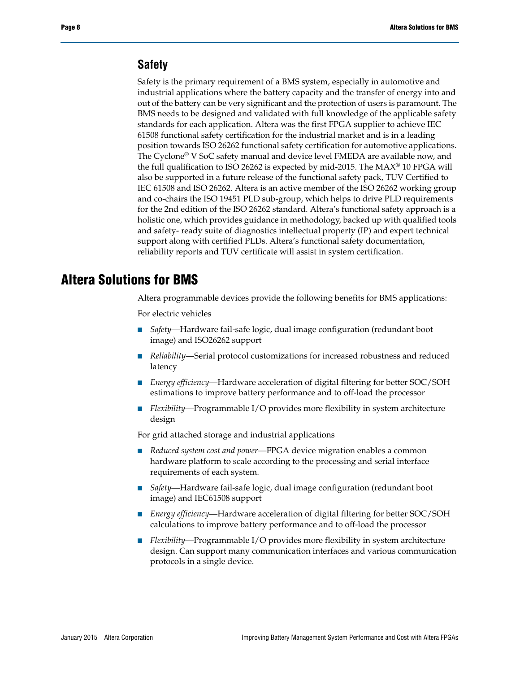### **Safety**

Safety is the primary requirement of a BMS system, especially in automotive and industrial applications where the battery capacity and the transfer of energy into and out of the battery can be very significant and the protection of users is paramount. The BMS needs to be designed and validated with full knowledge of the applicable safety standards for each application. Altera was the first FPGA supplier to achieve IEC 61508 functional safety certification for the industrial market and is in a leading position towards ISO 26262 functional safety certification for automotive applications. The Cyclone® V SoC safety manual and device level FMEDA are available now, and the full qualification to ISO 26262 is expected by mid-2015. The MAX® 10 FPGA will also be supported in a future release of the functional safety pack, TUV Certified to IEC 61508 and ISO 26262. Altera is an active member of the ISO 26262 working group and co-chairs the ISO 19451 PLD sub-group, which helps to drive PLD requirements for the 2nd edition of the ISO 26262 standard. Altera's functional safety approach is a holistic one, which provides guidance in methodology, backed up with qualified tools and safety- ready suite of diagnostics intellectual property (IP) and expert technical support along with certified PLDs. Altera's functional safety documentation, reliability reports and TUV certificate will assist in system certification.

## **Altera Solutions for BMS**

Altera programmable devices provide the following benefits for BMS applications:

For electric vehicles

- *Safety*—Hardware fail-safe logic, dual image configuration (redundant boot image) and ISO26262 support
- *Reliability—Serial protocol customizations for increased robustness and reduced* latency
- *Energy efficiency*—Hardware acceleration of digital filtering for better SOC/SOH estimations to improve battery performance and to off-load the processor
- *Flexibility*—Programmable I/O provides more flexibility in system architecture design

For grid attached storage and industrial applications

- *Reduced system cost and power*—FPGA device migration enables a common hardware platform to scale according to the processing and serial interface requirements of each system.
- *Safety*—Hardware fail-safe logic, dual image configuration (redundant boot image) and IEC61508 support
- *Energy efficiency*—Hardware acceleration of digital filtering for better SOC/SOH calculations to improve battery performance and to off-load the processor
- *Flexibility—Programmable I/O provides more flexibility in system architecture* design. Can support many communication interfaces and various communication protocols in a single device.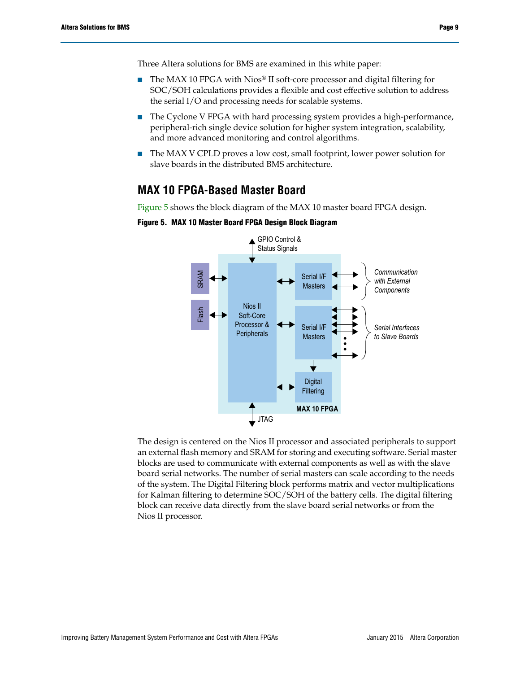- The MAX 10 FPGA with Nios® II soft-core processor and digital filtering for SOC/SOH calculations provides a flexible and cost effective solution to address the serial I/O and processing needs for scalable systems.
- The Cyclone V FPGA with hard processing system provides a high-performance, peripheral-rich single device solution for higher system integration, scalability, and more advanced monitoring and control algorithms.
- The MAX V CPLD proves a low cost, small footprint, lower power solution for slave boards in the distributed BMS architecture.

## **MAX 10 FPGA-Based Master Board**

[Figure 5](#page-8-0) shows the block diagram of the MAX 10 master board FPGA design.



<span id="page-8-0"></span>**Figure 5. MAX 10 Master Board FPGA Design Block Diagram**

The design is centered on the Nios II processor and associated peripherals to support an external flash memory and SRAM for storing and executing software. Serial master blocks are used to communicate with external components as well as with the slave board serial networks. The number of serial masters can scale according to the needs of the system. The Digital Filtering block performs matrix and vector multiplications for Kalman filtering to determine SOC/SOH of the battery cells. The digital filtering block can receive data directly from the slave board serial networks or from the Execution<br>
The design is cent<br>
an external flash r<br>
blocks are used to<br>
board serial netwo<br>
of the system. The<br>
for Kalman filterii<br>
block can receive<br>
Nios II processor.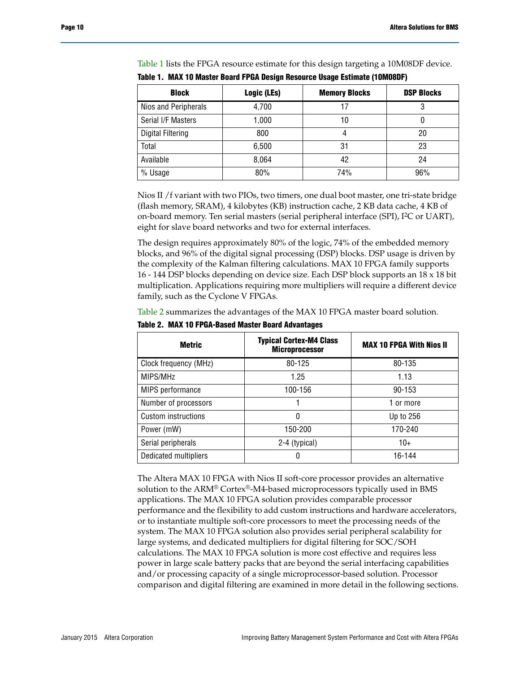| <b>Block</b>             | Logic (LEs) | <b>Memory Blocks</b> | <b>DSP Blocks</b> |
|--------------------------|-------------|----------------------|-------------------|
| Nios and Peripherals     | 4,700       | 17                   | 3                 |
| Serial I/F Masters       | 1,000       | 10                   |                   |
| <b>Digital Filtering</b> | 800         | 4                    | 20                |
| Total                    | 6,500       | 31                   | 23                |
| Available                | 8,064       | 42                   | 24                |
| % Usage                  | 80%         | 74%                  | 96%               |

[Table 1](#page-9-0) lists the FPGA resource estimate for this design targeting a 10M08DF device.

<span id="page-9-0"></span>**Table 1. MAX 10 Master Board FPGA Design Resource Usage Estimate (10M08DF)**

Nios II /f variant with two PIOs, two timers, one dual boot master, one tri-state bridge (flash memory, SRAM), 4 kilobytes (KB) instruction cache, 2 KB data cache, 4 KB of on-board memory. Ten serial masters (serial peripheral interface (SPI), I2C or UART), eight for slave board networks and two for external interfaces.

The design requires approximately 80% of the logic, 74% of the embedded memory blocks, and 96% of the digital signal processing (DSP) blocks. DSP usage is driven by the complexity of the Kalman filtering calculations. MAX 10 FPGA family supports 16 - 144 DSP blocks depending on device size. Each DSP block supports an 18 x 18 bit multiplication. Applications requiring more multipliers will require a different device family, such as the Cyclone V FPGAs.

[Table 2](#page-9-1) summarizes the advantages of the MAX 10 FPGA master board solution.

| <b>Metric</b>         | <b>Typical Cortex-M4 Class</b><br><b>Microprocessor</b> | <b>MAX 10 FPGA With Nios II</b> |
|-----------------------|---------------------------------------------------------|---------------------------------|
| Clock frequency (MHz) | 80-125                                                  | 80-135                          |
| MIPS/MHz              | 1.25                                                    | 1.13                            |
| MIPS performance      | 100-156                                                 | 90-153                          |
| Number of processors  |                                                         | 1 or more                       |
| Custom instructions   | 0                                                       | Up to 256                       |
| Power (mW)            | 150-200                                                 | 170-240                         |
| Serial peripherals    | 2-4 (typical)                                           | $10+$                           |
| Dedicated multipliers | 0                                                       | 16-144                          |

<span id="page-9-1"></span>**Table 2. MAX 10 FPGA-Based Master Board Advantages**

The Altera MAX 10 FPGA with Nios II soft-core processor provides an alternative solution to the ARM® Cortex®-M4-based microprocessors typically used in BMS applications. The MAX 10 FPGA solution provides comparable processor performance and the flexibility to add custom instructions and hardware accelerators, or to instantiate multiple soft-core processors to meet the processing needs of the system. The MAX 10 FPGA solution also provides serial peripheral scalability for large systems, and dedicated multipliers for digital filtering for SOC/SOH calculations. The MAX 10 FPGA solution is more cost effective and requires less power in large scale battery packs that are beyond the serial interfacing capabilities and/or processing capacity of a single microprocessor-based solution. Processor comparison and digital filtering are examined in more detail in the following sections.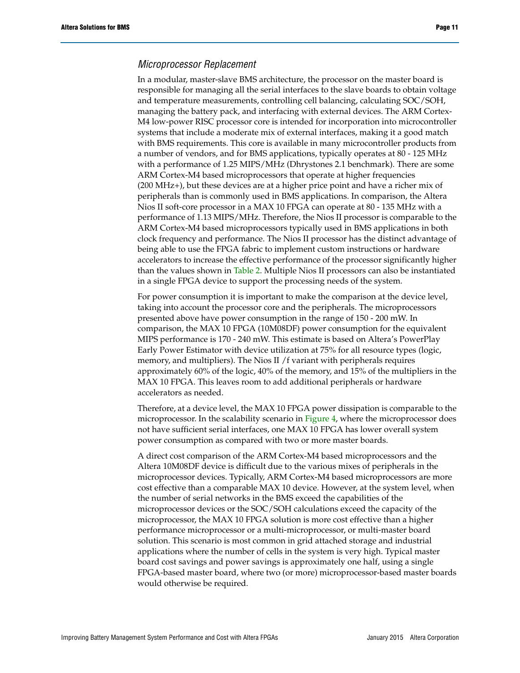#### *Microprocessor Replacement*

In a modular, master-slave BMS architecture, the processor on the master board is responsible for managing all the serial interfaces to the slave boards to obtain voltage and temperature measurements, controlling cell balancing, calculating SOC/SOH, managing the battery pack, and interfacing with external devices. The ARM Cortex-M4 low-power RISC processor core is intended for incorporation into microcontroller systems that include a moderate mix of external interfaces, making it a good match with BMS requirements. This core is available in many microcontroller products from a number of vendors, and for BMS applications, typically operates at 80 - 125 MHz with a performance of 1.25 MIPS/MHz (Dhrystones 2.1 benchmark). There are some ARM Cortex-M4 based microprocessors that operate at higher frequencies (200 MHz+), but these devices are at a higher price point and have a richer mix of peripherals than is commonly used in BMS applications. In comparison, the Altera Nios II soft-core processor in a MAX 10 FPGA can operate at 80 - 135 MHz with a performance of 1.13 MIPS/MHz. Therefore, the Nios II processor is comparable to the ARM Cortex-M4 based microprocessors typically used in BMS applications in both clock frequency and performance. The Nios II processor has the distinct advantage of being able to use the FPGA fabric to implement custom instructions or hardware accelerators to increase the effective performance of the processor significantly higher than the values shown in [Table 2](#page-9-1). Multiple Nios II processors can also be instantiated in a single FPGA device to support the processing needs of the system.

For power consumption it is important to make the comparison at the device level, taking into account the processor core and the peripherals. The microprocessors presented above have power consumption in the range of 150 - 200 mW. In comparison, the MAX 10 FPGA (10M08DF) power consumption for the equivalent MIPS performance is 170 - 240 mW. This estimate is based on Altera's PowerPlay Early Power Estimator with device utilization at 75% for all resource types (logic, memory, and multipliers). The Nios II /f variant with peripherals requires approximately 60% of the logic, 40% of the memory, and 15% of the multipliers in the MAX 10 FPGA. This leaves room to add additional peripherals or hardware accelerators as needed.

Therefore, at a device level, the MAX 10 FPGA power dissipation is comparable to the microprocessor. In the scalability scenario in [Figure 4](#page-6-0), where the microprocessor does not have sufficient serial interfaces, one MAX 10 FPGA has lower overall system power consumption as compared with two or more master boards.

A direct cost comparison of the ARM Cortex-M4 based microprocessors and the Altera 10M08DF device is difficult due to the various mixes of peripherals in the microprocessor devices. Typically, ARM Cortex-M4 based microprocessors are more cost effective than a comparable MAX 10 device. However, at the system level, when the number of serial networks in the BMS exceed the capabilities of the microprocessor devices or the SOC/SOH calculations exceed the capacity of the microprocessor, the MAX 10 FPGA solution is more cost effective than a higher performance microprocessor or a multi-microprocessor, or multi-master board solution. This scenario is most common in grid attached storage and industrial applications where the number of cells in the system is very high. Typical master board cost savings and power savings is approximately one half, using a single FPGA-based master board, where two (or more) microprocessor-based master boards would otherwise be required.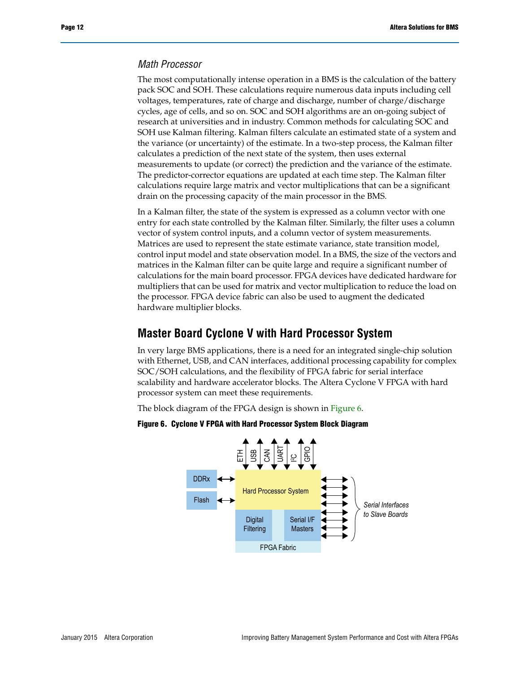### *Math Processor*

The most computationally intense operation in a BMS is the calculation of the battery pack SOC and SOH. These calculations require numerous data inputs including cell voltages, temperatures, rate of charge and discharge, number of charge/discharge cycles, age of cells, and so on. SOC and SOH algorithms are an on-going subject of research at universities and in industry. Common methods for calculating SOC and SOH use Kalman filtering. Kalman filters calculate an estimated state of a system and the variance (or uncertainty) of the estimate. In a two-step process, the Kalman filter calculates a prediction of the next state of the system, then uses external measurements to update (or correct) the prediction and the variance of the estimate. The predictor-corrector equations are updated at each time step. The Kalman filter calculations require large matrix and vector multiplications that can be a significant drain on the processing capacity of the main processor in the BMS.

In a Kalman filter, the state of the system is expressed as a column vector with one entry for each state controlled by the Kalman filter. Similarly, the filter uses a column vector of system control inputs, and a column vector of system measurements. Matrices are used to represent the state estimate variance, state transition model, control input model and state observation model. In a BMS, the size of the vectors and matrices in the Kalman filter can be quite large and require a significant number of calculations for the main board processor. FPGA devices have dedicated hardware for multipliers that can be used for matrix and vector multiplication to reduce the load on the processor. FPGA device fabric can also be used to augment the dedicated hardware multiplier blocks.

## **Master Board Cyclone V with Hard Processor System**

In very large BMS applications, there is a need for an integrated single-chip solution with Ethernet, USB, and CAN interfaces, additional processing capability for complex SOC/SOH calculations, and the flexibility of FPGA fabric for serial interface scalability and hardware accelerator blocks. The Altera Cyclone V FPGA with hard processor system can meet these requirements.

The block diagram of the FPGA design is shown in [Figure 6.](#page-11-0)

<span id="page-11-0"></span>

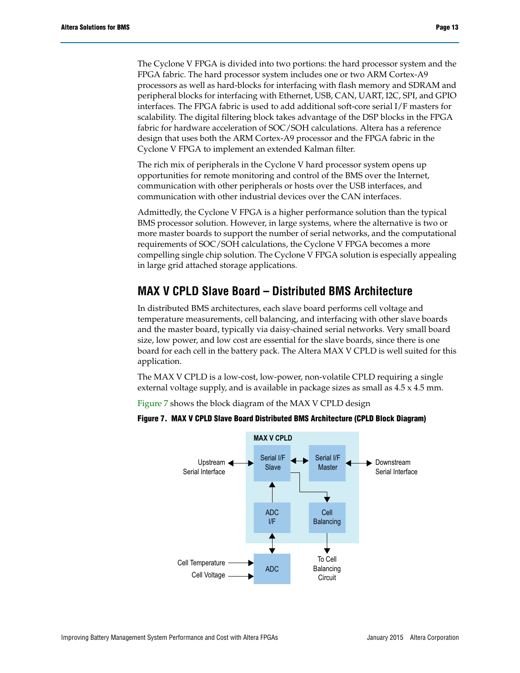The Cyclone V FPGA is divided into two portions: the hard processor system and the FPGA fabric. The hard processor system includes one or two ARM Cortex-A9 processors as well as hard-blocks for interfacing with flash memory and SDRAM and peripheral blocks for interfacing with Ethernet, USB, CAN, UART, I2C, SPI, and GPIO interfaces. The FPGA fabric is used to add additional soft-core serial I/F masters for scalability. The digital filtering block takes advantage of the DSP blocks in the FPGA fabric for hardware acceleration of SOC/SOH calculations. Altera has a reference design that uses both the ARM Cortex-A9 processor and the FPGA fabric in the Cyclone V FPGA to implement an extended Kalman filter.

The rich mix of peripherals in the Cyclone V hard processor system opens up opportunities for remote monitoring and control of the BMS over the Internet, communication with other peripherals or hosts over the USB interfaces, and communication with other industrial devices over the CAN interfaces.

Admittedly, the Cyclone V FPGA is a higher performance solution than the typical BMS processor solution. However, in large systems, where the alternative is two or more master boards to support the number of serial networks, and the computational requirements of SOC/SOH calculations, the Cyclone V FPGA becomes a more compelling single chip solution. The Cyclone V FPGA solution is especially appealing in large grid attached storage applications.

## **MAX V CPLD Slave Board – Distributed BMS Architecture**

In distributed BMS architectures, each slave board performs cell voltage and temperature measurements, cell balancing, and interfacing with other slave boards and the master board, typically via daisy-chained serial networks. Very small board size, low power, and low cost are essential for the slave boards, since there is one board for each cell in the battery pack. The Altera MAX V CPLD is well suited for this application.

The MAX V CPLD is a low-cost, low-power, non-volatile CPLD requiring a single external voltage supply, and is available in package sizes as small as 4.5 x 4.5 mm.

[Figure 7](#page-12-0) shows the block diagram of the MAX V CPLD design



#### <span id="page-12-0"></span>**Figure 7. MAX V CPLD Slave Board Distributed BMS Architecture (CPLD Block Diagram)**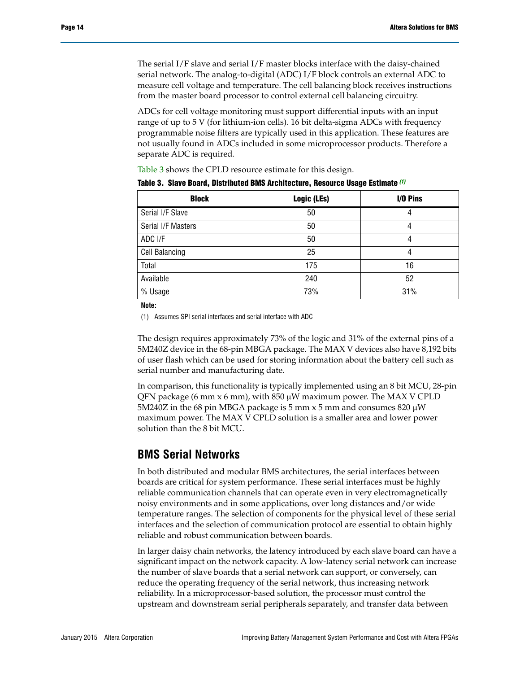The serial I/F slave and serial I/F master blocks interface with the daisy-chained serial network. The analog-to-digital (ADC) I/F block controls an external ADC to measure cell voltage and temperature. The cell balancing block receives instructions from the master board processor to control external cell balancing circuitry.

ADCs for cell voltage monitoring must support differential inputs with an input range of up to 5 V (for lithium-ion cells). 16 bit delta-sigma ADCs with frequency programmable noise filters are typically used in this application. These features are not usually found in ADCs included in some microprocessor products. Therefore a separate ADC is required.

[Table 3](#page-13-1) shows the CPLD resource estimate for this design.

| <b>Block</b>          | Logic (LEs) | I/O Pins |
|-----------------------|-------------|----------|
| Serial I/F Slave      | 50          |          |
| Serial I/F Masters    | 50          |          |
| ADC I/F               | 50          |          |
| <b>Cell Balancing</b> | 25          |          |
| Total                 | 175         | 16       |
| Available             | 240         | 52       |
| % Usage               | 73%         | 31%      |

<span id="page-13-1"></span>**Table 3. Slave Board, Distributed BMS Architecture, Resource Usage Estimate** *[\(1\)](#page-13-0)*

**Note:**

<span id="page-13-0"></span>(1) Assumes SPI serial interfaces and serial interface with ADC

The design requires approximately 73% of the logic and 31% of the external pins of a 5M240Z device in the 68-pin MBGA package. The MAX V devices also have 8,192 bits of user flash which can be used for storing information about the battery cell such as serial number and manufacturing date.

In comparison, this functionality is typically implemented using an 8 bit MCU, 28-pin QFN package (6 mm x 6 mm), with  $850 \mu W$  maximum power. The MAX V CPLD 5M240Z in the 68 pin MBGA package is 5 mm  $\times$  5 mm and consumes 820  $\mu$ W maximum power. The MAX V CPLD solution is a smaller area and lower power solution than the 8 bit MCU.

### **BMS Serial Networks**

In both distributed and modular BMS architectures, the serial interfaces between boards are critical for system performance. These serial interfaces must be highly reliable communication channels that can operate even in very electromagnetically noisy environments and in some applications, over long distances and/or wide temperature ranges. The selection of components for the physical level of these serial interfaces and the selection of communication protocol are essential to obtain highly reliable and robust communication between boards.

In larger daisy chain networks, the latency introduced by each slave board can have a significant impact on the network capacity. A low-latency serial network can increase the number of slave boards that a serial network can support, or conversely, can reduce the operating frequency of the serial network, thus increasing network reliability. In a microprocessor-based solution, the processor must control the upstream and downstream serial peripherals separately, and transfer data between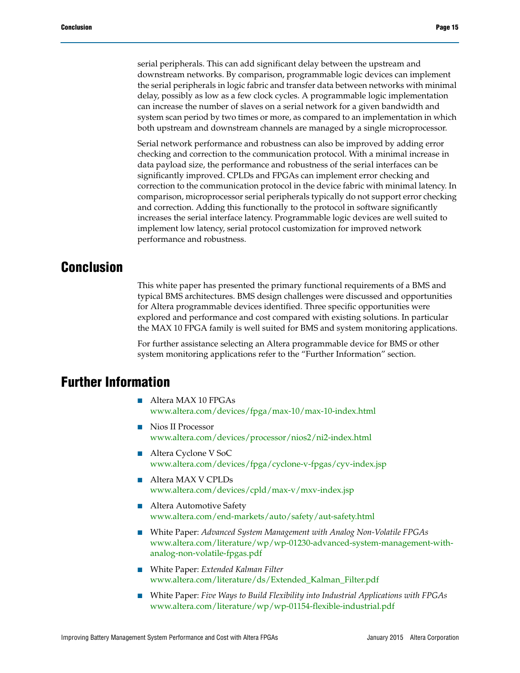serial peripherals. This can add significant delay between the upstream and downstream networks. By comparison, programmable logic devices can implement the serial peripherals in logic fabric and transfer data between networks with minimal delay, possibly as low as a few clock cycles. A programmable logic implementation can increase the number of slaves on a serial network for a given bandwidth and system scan period by two times or more, as compared to an implementation in which both upstream and downstream channels are managed by a single microprocessor.

Serial network performance and robustness can also be improved by adding error checking and correction to the communication protocol. With a minimal increase in data payload size, the performance and robustness of the serial interfaces can be significantly improved. CPLDs and FPGAs can implement error checking and correction to the communication protocol in the device fabric with minimal latency. In comparison, microprocessor serial peripherals typically do not support error checking and correction. Adding this functionally to the protocol in software significantly increases the serial interface latency. Programmable logic devices are well suited to implement low latency, serial protocol customization for improved network performance and robustness.

## **Conclusion**

This white paper has presented the primary functional requirements of a BMS and typical BMS architectures. BMS design challenges were discussed and opportunities for Altera programmable devices identified. Three specific opportunities were explored and performance and cost compared with existing solutions. In particular the MAX 10 FPGA family is well suited for BMS and system monitoring applications.

For further assistance selecting an Altera programmable device for BMS or other system monitoring applications refer to the "Further Information" section.

## **Further Information**

- Altera MAX 10 FPGAs [www.altera.com/devices/fpga/max-10/max-10-index.html](http://www.altera.com/devices/fpga/max-10/max-10-index.html)
- Nios II Processor [www.altera.com/devices/processor/nios2/ni2-index.html](http://www.altera.com/devices/processor/nios2/ni2-index.html)
- Altera Cyclone V SoC [www.altera.com/devices/fpga/cyclone-v-fpgas/cyv-index.jsp](http://www.altera.com/devices/fpga/cyclone-v-fpgas/cyv-index.jsp)
- Altera MAX V CPLDs [www.altera.com/devices/cpld/max-v/mxv-index.jsp](http://www.altera.com/devices/cpld/max-v/mxv-index.jsp)
- Altera Automotive Safety [www.altera.com/end-markets/auto/safety/aut-safety.html](http://www.altera.com/end-markets/auto/safety/aut-safety.html)
- White Paper: *Advanced System Management with Analog Non-Volatile FPGAs* www.altera.com/literature/wp/wp-01230-advanced-system-management-withanalog-non-volatile-fpgas.pdf
- White Paper: *Extended Kalman Filter* [www.altera.com/literature/ds/Extended\\_Kalman\\_Filter.pdf](http://www.altera.com/literature/ds/Extended_Kalman_Filter.pdf)
- White Paper: *Five Ways to Build Flexibility into Industrial Applications with FPGAs* [www.altera.com/literature/wp/wp-01154-flexible-industrial.pdf](http://www.altera.com/literature/wp/wp-01154-flexible-industrial.pdf)